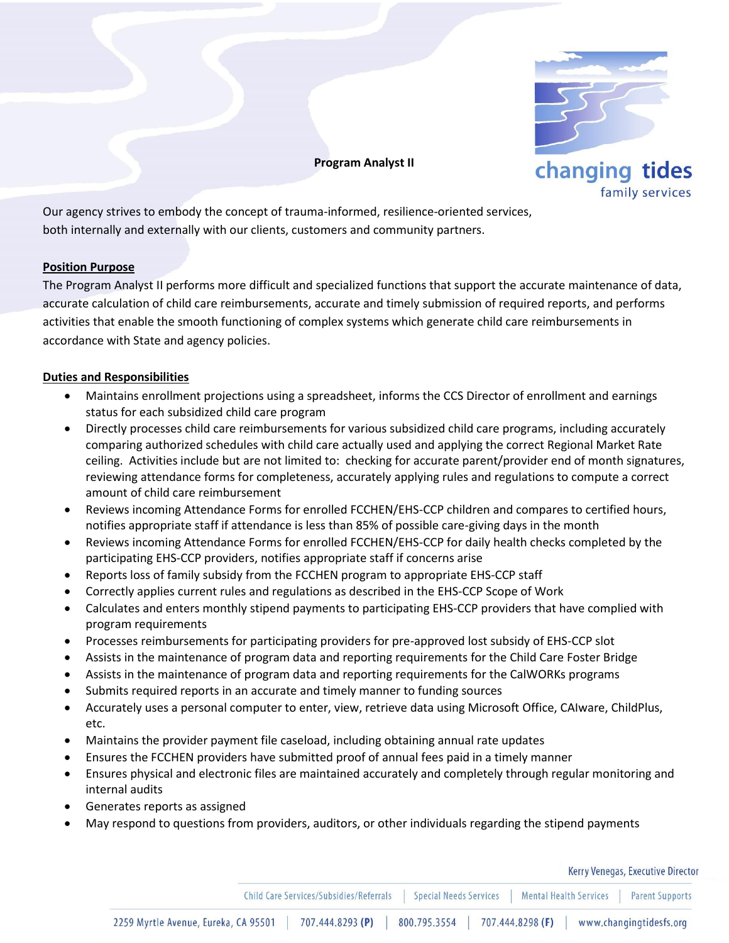

**Program Analyst II**

Our agency strives to embody the concept of trauma-informed, resilience-oriented services, both internally and externally with our clients, customers and community partners.

## **Position Purpose**

The Program Analyst II performs more difficult and specialized functions that support the accurate maintenance of data, accurate calculation of child care reimbursements, accurate and timely submission of required reports, and performs activities that enable the smooth functioning of complex systems which generate child care reimbursements in accordance with State and agency policies.

## **Duties and Responsibilities**

- Maintains enrollment projections using a spreadsheet, informs the CCS Director of enrollment and earnings status for each subsidized child care program
- Directly processes child care reimbursements for various subsidized child care programs, including accurately comparing authorized schedules with child care actually used and applying the correct Regional Market Rate ceiling. Activities include but are not limited to: checking for accurate parent/provider end of month signatures, reviewing attendance forms for completeness, accurately applying rules and regulations to compute a correct amount of child care reimbursement
- Reviews incoming Attendance Forms for enrolled FCCHEN/EHS-CCP children and compares to certified hours, notifies appropriate staff if attendance is less than 85% of possible care-giving days in the month
- Reviews incoming Attendance Forms for enrolled FCCHEN/EHS-CCP for daily health checks completed by the participating EHS-CCP providers, notifies appropriate staff if concerns arise
- Reports loss of family subsidy from the FCCHEN program to appropriate EHS-CCP staff
- Correctly applies current rules and regulations as described in the EHS-CCP Scope of Work
- Calculates and enters monthly stipend payments to participating EHS-CCP providers that have complied with program requirements
- Processes reimbursements for participating providers for pre-approved lost subsidy of EHS-CCP slot
- Assists in the maintenance of program data and reporting requirements for the Child Care Foster Bridge
- Assists in the maintenance of program data and reporting requirements for the CalWORKs programs
- Submits required reports in an accurate and timely manner to funding sources
- Accurately uses a personal computer to enter, view, retrieve data using Microsoft Office, CAIware, ChildPlus, etc.
- Maintains the provider payment file caseload, including obtaining annual rate updates
- Ensures the FCCHEN providers have submitted proof of annual fees paid in a timely manner
- Ensures physical and electronic files are maintained accurately and completely through regular monitoring and internal audits
- Generates reports as assigned
- May respond to questions from providers, auditors, or other individuals regarding the stipend payments

Kerry Venegas, Executive Director